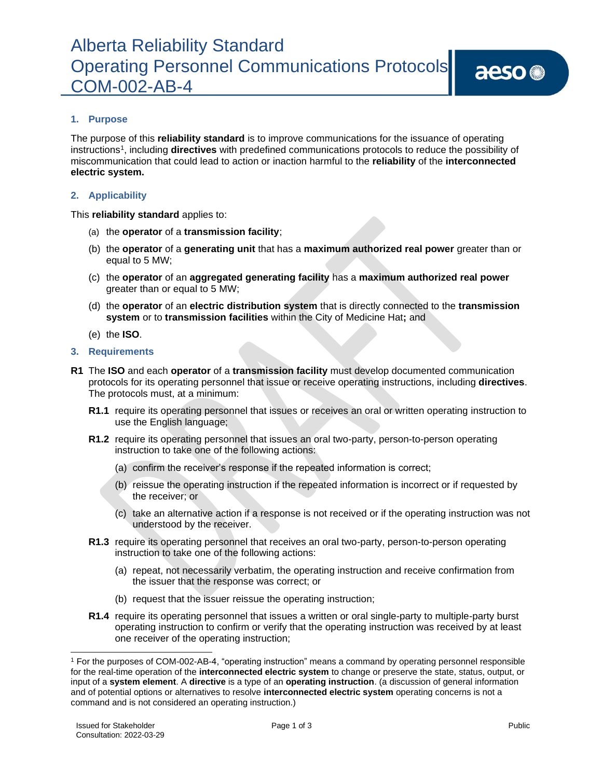## Alberta Reliability Standard Operating Personnel Communications Protocols COM-002-AB-4

### **1. Purpose**

The purpose of this **reliability standard** is to improve communications for the issuance of operating instructions<sup>1</sup> , including **directives** with predefined communications protocols to reduce the possibility of miscommunication that could lead to action or inaction harmful to the **reliability** of the **interconnected electric system.**

#### **2. Applicability**

This **reliability standard** applies to:

- (a) the **operator** of a **transmission facility**;
- (b) the **operator** of a **generating unit** that has a **maximum authorized real power** greater than or equal to 5 MW;
- (c) the **operator** of an **aggregated generating facility** has a **maximum authorized real power** greater than or equal to 5 MW;
- (d) the **operator** of an **electric distribution system** that is directly connected to the **transmission system** or to **transmission facilities** within the City of Medicine Hat**;** and
- (e) the **ISO**.

#### **3. Requirements**

- **R1** The **ISO** and each **operator** of a **transmission facility** must develop documented communication protocols for its operating personnel that issue or receive operating instructions, including **directives**. The protocols must, at a minimum:
	- **R1.1** require its operating personnel that issues or receives an oral or written operating instruction to use the English language;
	- **R1.2** require its operating personnel that issues an oral two-party, person-to-person operating instruction to take one of the following actions:
		- (a) confirm the receiver's response if the repeated information is correct;
		- (b) reissue the operating instruction if the repeated information is incorrect or if requested by the receiver; or
		- (c) take an alternative action if a response is not received or if the operating instruction was not understood by the receiver.
	- **R1.3** require its operating personnel that receives an oral two-party, person-to-person operating instruction to take one of the following actions:
		- (a) repeat, not necessarily verbatim, the operating instruction and receive confirmation from the issuer that the response was correct; or
		- (b) request that the issuer reissue the operating instruction;
	- **R1.4** require its operating personnel that issues a written or oral single-party to multiple-party burst operating instruction to confirm or verify that the operating instruction was received by at least one receiver of the operating instruction;

<sup>1</sup> For the purposes of COM-002-AB-4, "operating instruction" means a command by operating personnel responsible for the real-time operation of the **interconnected electric system** to change or preserve the state, status, output, or input of a **system element**. A **directive** is a type of an **operating instruction**. (a discussion of general information and of potential options or alternatives to resolve **interconnected electric system** operating concerns is not a command and is not considered an operating instruction.)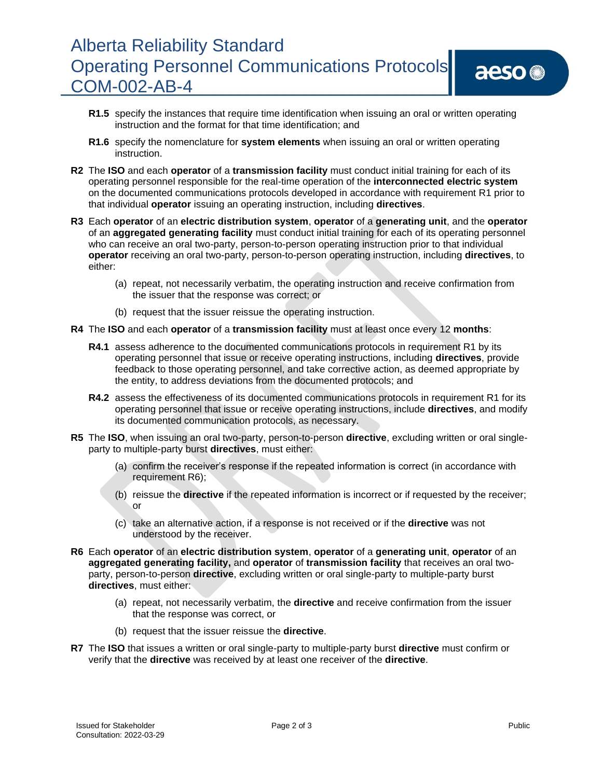# Alberta Reliability Standard Operating Personnel Communications Protocols COM-002-AB-4

aeso<sup>®</sup>

- **R1.5** specify the instances that require time identification when issuing an oral or written operating instruction and the format for that time identification; and
- **R1.6** specify the nomenclature for **system elements** when issuing an oral or written operating instruction.
- **R2** The **ISO** and each **operator** of a **transmission facility** must conduct initial training for each of its operating personnel responsible for the real-time operation of the **interconnected electric system** on the documented communications protocols developed in accordance with requirement R1 prior to that individual **operator** issuing an operating instruction, including **directives**.
- **R3** Each **operator** of an **electric distribution system**, **operator** of a **generating unit**, and the **operator** of an **aggregated generating facility** must conduct initial training for each of its operating personnel who can receive an oral two-party, person-to-person operating instruction prior to that individual **operator** receiving an oral two-party, person-to-person operating instruction, including **directives**, to either:
	- (a) repeat, not necessarily verbatim, the operating instruction and receive confirmation from the issuer that the response was correct; or
	- (b) request that the issuer reissue the operating instruction.
- **R4** The **ISO** and each **operator** of a **transmission facility** must at least once every 12 **months**:
	- **R4.1** assess adherence to the documented communications protocols in requirement R1 by its operating personnel that issue or receive operating instructions, including **directives**, provide feedback to those operating personnel, and take corrective action, as deemed appropriate by the entity, to address deviations from the documented protocols; and
	- **R4.2** assess the effectiveness of its documented communications protocols in requirement R1 for its operating personnel that issue or receive operating instructions, include **directives**, and modify its documented communication protocols, as necessary.
- **R5** The **ISO**, when issuing an oral two-party, person-to-person **directive**, excluding written or oral singleparty to multiple-party burst **directives**, must either:
	- (a) confirm the receiver's response if the repeated information is correct (in accordance with requirement R6);
	- (b) reissue the **directive** if the repeated information is incorrect or if requested by the receiver; or
	- (c) take an alternative action, if a response is not received or if the **directive** was not understood by the receiver.
- **R6** Each **operator** of an **electric distribution system**, **operator** of a **generating unit**, **operator** of an **aggregated generating facility,** and **operator** of **transmission facility** that receives an oral twoparty, person-to-person **directive**, excluding written or oral single-party to multiple-party burst **directives**, must either:
	- (a) repeat, not necessarily verbatim, the **directive** and receive confirmation from the issuer that the response was correct, or
	- (b) request that the issuer reissue the **directive**.
- **R7** The **ISO** that issues a written or oral single-party to multiple-party burst **directive** must confirm or verify that the **directive** was received by at least one receiver of the **directive**.